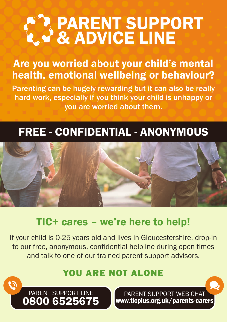# & ADVICE LINE PARENT SUPPORT

## Are you worried about your child's mental health, emotional wellbeing or behaviour?

Parenting can be hugely rewarding but it can also be really hard work, especially if you think your child is unhappy or you are worried about them.

## FREE - CONFIDENTIAL - ANONYMOUS



## TIC+ cares – we're here to help!

If your child is 0-25 years old and lives in Gloucestershire, drop-in to our free, anonymous, confidential helpline during open times and talk to one of our trained parent support advisors.

#### YOU ARE NOT ALONE



PARENT SUPPORT WEB CHAT www.ticplus.org.uk/parents-carers